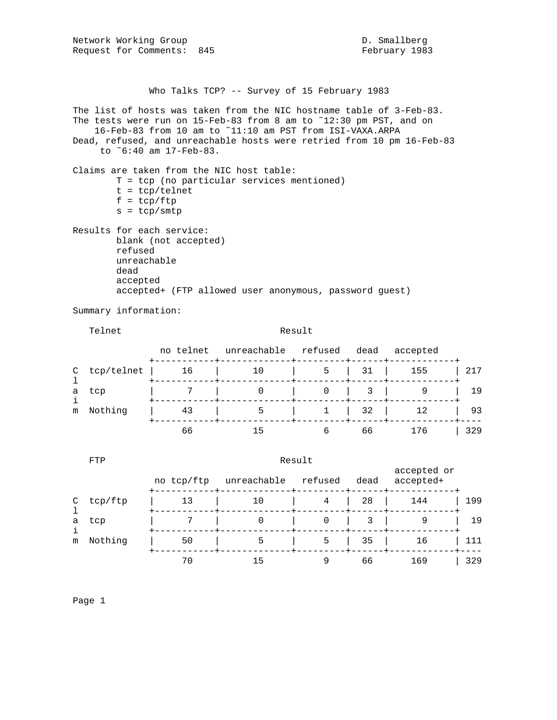Network Working Group and the control of the D. Smallberg Request for Comments: 845 February 1983

Who Talks TCP? -- Survey of 15 February 1983

The list of hosts was taken from the NIC hostname table of 3-Feb-83. The tests were run on 15-Feb-83 from 8 am to ˜12:30 pm PST, and on 16-Feb-83 from 10 am to ˜11:10 am PST from ISI-VAXA.ARPA Dead, refused, and unreachable hosts were retried from 10 pm 16-Feb-83 to ˜6:40 am 17-Feb-83. Claims are taken from the NIC host table: T = tcp (no particular services mentioned) t = tcp/telnet  $f = \text{tcp/ftp}$  $s = tcp/smtp$ Results for each service: blank (not accepted) refused unreachable dead accepted accepted+ (FTP allowed user anonymous, password guest)

Summary information:

## Telnet Result

|   |                | no telnet | unreachable | refused                                                                                        | dead                | accepted      |     |
|---|----------------|-----------|-------------|------------------------------------------------------------------------------------------------|---------------------|---------------|-----|
|   | $C$ tcp/telnet | 16        | <b>10</b>   | $\begin{array}{ c c c c c c c c } \hline \quad & \quad & 5 & \quad 31 & \quad 155 \end{array}$ |                     |               | 217 |
| a | tcp            |           |             |                                                                                                | $0 \quad 3 \quad 1$ |               | 19  |
|   | m Nothing      | 43        | 5           |                                                                                                |                     | $1 \t32 \t12$ | 93  |
|   |                | 66        |             |                                                                                                | 66                  | 176           | 329 |

|              | FTP     | Result     |             |         |      |                          |     |  |
|--------------|---------|------------|-------------|---------|------|--------------------------|-----|--|
|              |         | no tcp/ftp | unreachable | refused | dead | accepted or<br>accepted+ |     |  |
| C            | tcp/ftp | 13         | 10          | 4       | 28   | 144                      | 199 |  |
| a<br>j.<br>m | tcp     |            | 0           | 0       |      | 9                        | 19  |  |
|              | Nothing | 50         | 5           | 5       | 35   | 16                       | 111 |  |
|              |         | 70         | 15          |         | 66   | 169                      | 329 |  |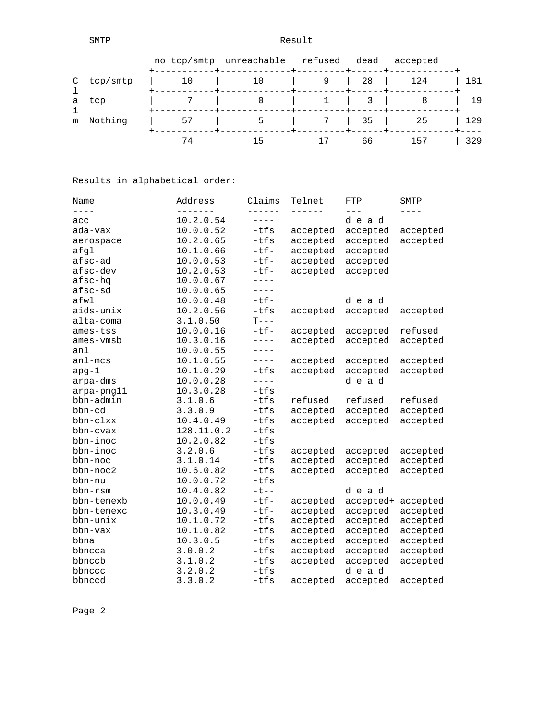SMTP Result

|            |    | no tcp/smtp unreachable refused dead |                         | accepted     |     |
|------------|----|--------------------------------------|-------------------------|--------------|-----|
| C tcp/smtp |    | 10                                   |                         | 9   28   124 | 181 |
| a tcp      |    |                                      | $1 \quad \vert \quad 3$ |              | 19  |
| m Nothing  | 57 |                                      | 7   35                  | 25           | 129 |
|            | 74 |                                      | 66                      | 157          | 329 |

Results in alphabetical order:

| Name        | Address    | Claims      | Telnet   | FTP       | SMTP     |
|-------------|------------|-------------|----------|-----------|----------|
| $- - - -$   |            | ------      | ------   |           |          |
| acc         | 10.2.0.54  | $- - - - -$ |          | dead      |          |
| ada-vax     | 10.0.0.52  | $-tfs$      | accepted | accepted  | accepted |
| aerospace   | 10.2.0.65  | $-tfs$      | accepted | accepted  | accepted |
| afgl        | 10.1.0.66  | $-tf-$      | accepted | accepted  |          |
| afsc-ad     | 10.0.0.53  | $-tf-$      | accepted | accepted  |          |
| afsc-dev    | 10.2.0.53  | $-tf-$      | accepted | accepted  |          |
| afsc-hq     | 10.0.0.67  | $- - - - -$ |          |           |          |
| afsc-sd     | 10.0.0.65  | $---$       |          |           |          |
| afwl        | 10.0.0.48  | $-tf-$      |          | dead      |          |
| aids-unix   | 10.2.0.56  | $-tfs$      | accepted | accepted  | accepted |
| alta-coma   | 3.1.0.50   | $T---$      |          |           |          |
| ames-tss    | 10.0.0.16  | $-tf-$      | accepted | accepted  | refused  |
| ames-vmsb   | 10.3.0.16  | $- - - - -$ | accepted | accepted  | accepted |
| anl         | 10.0.0.55  | $- - - - -$ |          |           |          |
| $an1 - mcs$ | 10.1.0.55  | $- - - - -$ | accepted | accepted  | accepted |
| $apg-1$     | 10.1.0.29  | $-tfs$      | accepted | accepted  | accepted |
| arpa-dms    | 10.0.0.28  | $- - - - -$ |          | dead      |          |
| arpa-png11  | 10.3.0.28  | $-tfs$      |          |           |          |
| bbn-admin   | 3.1.0.6    | $-tfs$      | refused  | refused   | refused  |
| bbn-cd      | 3.3.0.9    | $-tfs$      | accepted | accepted  | accepted |
| bbn-clxx    | 10.4.0.49  | $-tfs$      | accepted | accepted  | accepted |
| bbn-cvax    | 128.11.0.2 | $-tfs$      |          |           |          |
| bbn-inoc    | 10.2.0.82  | $-tfs$      |          |           |          |
| bbn-inoc    | 3.2.0.6    | $-tfs$      | accepted | accepted  | accepted |
| bbn-noc     | 3.1.0.14   | $-tfs$      | accepted | accepted  | accepted |
| bbn-noc2    | 10.6.0.82  | $-tfs$      | accepted | accepted  | accepted |
| bbn-nu      | 10.0.0.72  | $-tfs$      |          |           |          |
| bbn-rsm     | 10.4.0.82  | $-t$ --     |          | dead      |          |
| bbn-tenexb  | 10.0.0.49  | $-tf-$      | accepted | accepted+ | accepted |
| bbn-tenexc  | 10.3.0.49  | $-tf-$      | accepted | accepted  | accepted |
| bbn-unix    | 10.1.0.72  | $-tfs$      | accepted | accepted  | accepted |
| bbn-vax     | 10.1.0.82  | $-tfs$      | accepted | accepted  | accepted |
| bbna        | 10.3.0.5   | $-tfs$      | accepted | accepted  | accepted |
| bbncca      | 3.0.0.2    | $-tfs$      | accepted | accepted  | accepted |
| bbnccb      | 3.1.0.2    | -tfs        | accepted | accepted  | accepted |
| bbnccc      | 3.2.0.2    | $-tfs$      |          | dead      |          |
| bbnccd      | 3.3.0.2    | $-tfs$      | accepted | accepted  | accepted |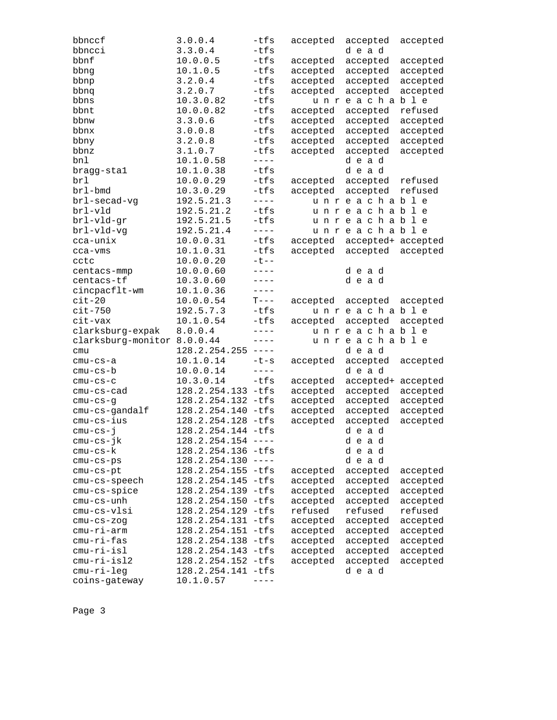| bbnccf                      | 3.0.0.4              | -tfs                                                                                                                                                                                                                                                                                                                                                                                         | accepted | accepted           | accepted |
|-----------------------------|----------------------|----------------------------------------------------------------------------------------------------------------------------------------------------------------------------------------------------------------------------------------------------------------------------------------------------------------------------------------------------------------------------------------------|----------|--------------------|----------|
| bbncci                      | 3.3.0.4              | $-tfs$                                                                                                                                                                                                                                                                                                                                                                                       |          | dead               |          |
| bbnf                        | 10.0.0.5             | $-tfs$                                                                                                                                                                                                                                                                                                                                                                                       | accepted | accepted           | accepted |
| bbng                        | 10.1.0.5             | -tfs                                                                                                                                                                                                                                                                                                                                                                                         | accepted | accepted           | accepted |
| bbnp                        | 3.2.0.4              | -tfs                                                                                                                                                                                                                                                                                                                                                                                         | accepted | accepted           | accepted |
| bbnq                        | 3.2.0.7              | $-tfs$                                                                                                                                                                                                                                                                                                                                                                                       | accepted | accepted           | accepted |
| bbns                        | 10.3.0.82            | $-tfs$                                                                                                                                                                                                                                                                                                                                                                                       |          | unreachable        |          |
| bbnt                        | 10.0.0.82            | -tfs                                                                                                                                                                                                                                                                                                                                                                                         | accepted | accepted           | refused  |
| bbnw                        | 3.3.0.6              | $-tfs$                                                                                                                                                                                                                                                                                                                                                                                       | accepted | accepted           | accepted |
| bbnx                        | 3.0.0.8              | $-tfs$                                                                                                                                                                                                                                                                                                                                                                                       | accepted | accepted           | accepted |
| bbny                        | 3.2.0.8              | -tfs                                                                                                                                                                                                                                                                                                                                                                                         | accepted | accepted           | accepted |
| bbnz                        | 3.1.0.7              | $-tfs$                                                                                                                                                                                                                                                                                                                                                                                       | accepted | accepted           | accepted |
| bnl                         | 10.1.0.58            | $---$                                                                                                                                                                                                                                                                                                                                                                                        |          | dead               |          |
| bragg-stal                  | 10.1.0.38            | $-tfs$                                                                                                                                                                                                                                                                                                                                                                                       |          | dead               |          |
| brl                         | 10.0.0.29            | $-tfs$                                                                                                                                                                                                                                                                                                                                                                                       | accepted | accepted           | refused  |
| brl-bmd                     | 10.3.0.29            | $-tfs$                                                                                                                                                                                                                                                                                                                                                                                       | accepted | accepted           | refused  |
| brl-secad-vg                | 192.5.21.3           | $- - - -$                                                                                                                                                                                                                                                                                                                                                                                    |          | unreachable        |          |
| brl-vld                     | 192.5.21.2           | -tfs                                                                                                                                                                                                                                                                                                                                                                                         |          | unreachable        |          |
| brl-vld-gr                  | 192.5.21.5           | $-tfs$                                                                                                                                                                                                                                                                                                                                                                                       |          | unreachable        |          |
| brl-vld-vg                  | 192.5.21.4           | $- - - -$                                                                                                                                                                                                                                                                                                                                                                                    |          | unreachable        |          |
| cca-unix                    | 10.0.0.31            | $-tfs$                                                                                                                                                                                                                                                                                                                                                                                       | accepted | accepted+ accepted |          |
| cca-vms                     | 10.1.0.31            | $-tfs$                                                                                                                                                                                                                                                                                                                                                                                       | accepted | accepted           | accepted |
| cctc                        | 10.0.0.20            | $-t$ --                                                                                                                                                                                                                                                                                                                                                                                      |          |                    |          |
| centacs-mmp                 | 10.0.0.60            | $- - - -$                                                                                                                                                                                                                                                                                                                                                                                    |          | dead               |          |
| centacs-tf                  | 10.3.0.60            | $- - - -$                                                                                                                                                                                                                                                                                                                                                                                    |          | dead               |          |
| cincpacflt-wm               | 10.1.0.36            | $---$                                                                                                                                                                                                                                                                                                                                                                                        |          |                    |          |
| $cit-20$                    | 10.0.0.54            | $T---$                                                                                                                                                                                                                                                                                                                                                                                       | accepted | accepted           | accepted |
| $cit-750$                   | 192.5.7.3            | $-tfs$                                                                                                                                                                                                                                                                                                                                                                                       |          | unreachable        |          |
| cit-vax                     | 10.1.0.54            | -tfs                                                                                                                                                                                                                                                                                                                                                                                         | accepted | accepted           | accepted |
| clarksburg-expak            | 8.0.0.4              | $---$                                                                                                                                                                                                                                                                                                                                                                                        |          | unreachable        |          |
| clarksburg-monitor 8.0.0.44 |                      | $---$                                                                                                                                                                                                                                                                                                                                                                                        |          | unreachable        |          |
| cmu                         | 128.2.254.255        | $\qquad \qquad - - - -$                                                                                                                                                                                                                                                                                                                                                                      |          | dead               |          |
| cmu-cs-a                    | 10.1.0.14            | $-t-s$                                                                                                                                                                                                                                                                                                                                                                                       | accepted | accepted           | accepted |
| $cmu-cs-b$                  | 10.0.0.14            | $- - - - -$                                                                                                                                                                                                                                                                                                                                                                                  |          | dead               |          |
| $cmu-cs-c$                  | 10.3.0.14            | -tfs                                                                                                                                                                                                                                                                                                                                                                                         | accepted | accepted+          | accepted |
| cmu-cs-cad                  | 128.2.254.133 -tfs   |                                                                                                                                                                                                                                                                                                                                                                                              | accepted | accepted           | accepted |
| $cmu-cs-g$                  | 128.2.254.132 -tfs   |                                                                                                                                                                                                                                                                                                                                                                                              | accepted | accepted           | accepted |
| cmu-cs-gandalf              | 128.2.254.140 -tfs   |                                                                                                                                                                                                                                                                                                                                                                                              | accepted | accepted           | accepted |
| $cmu-cs-ius$                | 128.2.254.128 -tfs   |                                                                                                                                                                                                                                                                                                                                                                                              | accepted | accepted           | accepted |
| $cmu-cs-j$                  | 128.2.254.144 -tfs   |                                                                                                                                                                                                                                                                                                                                                                                              |          | dead               |          |
| cmu-cs-jk                   | $128.2.254.154$ ---- |                                                                                                                                                                                                                                                                                                                                                                                              |          | dead               |          |
| cmu-cs-k                    | 128.2.254.136 -tfs   |                                                                                                                                                                                                                                                                                                                                                                                              |          | dead               |          |
| $cmu-cs-ps$                 | 128.2.254.130        | $\frac{1}{2} \frac{1}{2} \frac{1}{2} \frac{1}{2} \frac{1}{2} \frac{1}{2} \frac{1}{2} \frac{1}{2} \frac{1}{2} \frac{1}{2} \frac{1}{2} \frac{1}{2} \frac{1}{2} \frac{1}{2} \frac{1}{2} \frac{1}{2} \frac{1}{2} \frac{1}{2} \frac{1}{2} \frac{1}{2} \frac{1}{2} \frac{1}{2} \frac{1}{2} \frac{1}{2} \frac{1}{2} \frac{1}{2} \frac{1}{2} \frac{1}{2} \frac{1}{2} \frac{1}{2} \frac{1}{2} \frac{$ |          | dead               |          |
| $cmu-cs-pt$                 | 128.2.254.155 -tfs   |                                                                                                                                                                                                                                                                                                                                                                                              | accepted | accepted           | accepted |
| cmu-cs-speech               | 128.2.254.145        | $-tfs$                                                                                                                                                                                                                                                                                                                                                                                       | accepted | accepted           | accepted |
| cmu-cs-spice                | 128.2.254.139        | -tfs                                                                                                                                                                                                                                                                                                                                                                                         | accepted | accepted           | accepted |
| cmu-cs-unh                  | 128.2.254.150        | -tfs                                                                                                                                                                                                                                                                                                                                                                                         | accepted | accepted           | accepted |
| cmu-cs-vlsi                 | 128.2.254.129 -tfs   |                                                                                                                                                                                                                                                                                                                                                                                              | refused  | refused            | refused  |
| $cmu-cs-zog$                | 128.2.254.131 -tfs   |                                                                                                                                                                                                                                                                                                                                                                                              | accepted | accepted           | accepted |
| cmu-ri-arm                  | 128.2.254.151 -tfs   |                                                                                                                                                                                                                                                                                                                                                                                              | accepted | accepted           | accepted |
| $cmu-ri-fas$                | 128.2.254.138        | $-tfs$                                                                                                                                                                                                                                                                                                                                                                                       | accepted | accepted           | accepted |
| cmu-ri-isl                  | 128.2.254.143        | $-tfs$                                                                                                                                                                                                                                                                                                                                                                                       | accepted | accepted           | accepted |
| $cmu-ri-isl2$               | 128.2.254.152 -tfs   |                                                                                                                                                                                                                                                                                                                                                                                              | accepted | accepted           | accepted |
| $cmu-ri-leg$                | 128.2.254.141 -tfs   |                                                                                                                                                                                                                                                                                                                                                                                              |          | dead               |          |
| coins-gateway               | 10.1.0.57            |                                                                                                                                                                                                                                                                                                                                                                                              |          |                    |          |
|                             |                      |                                                                                                                                                                                                                                                                                                                                                                                              |          |                    |          |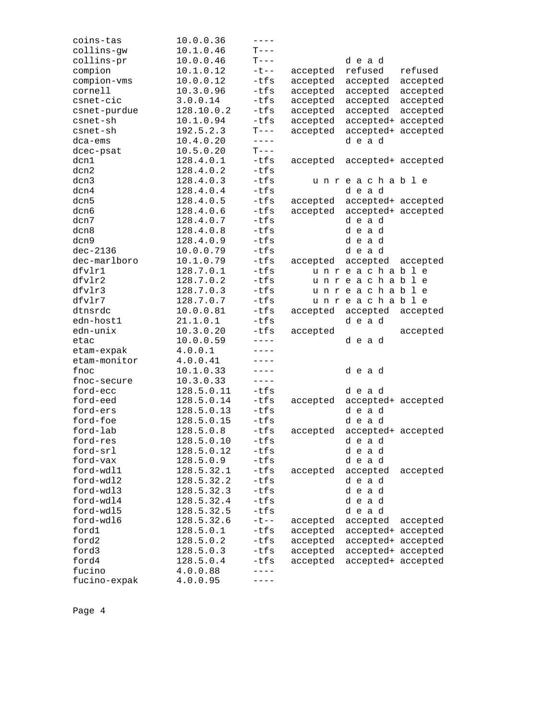| coins-tas    | 10.0.0.36  | $---$     |          |                    |          |
|--------------|------------|-----------|----------|--------------------|----------|
| collins-gw   | 10.1.0.46  | $T---$    |          |                    |          |
| collins-pr   | 10.0.0.46  | $T---$    |          | dead               |          |
| compion      | 10.1.0.12  | $-t$ $-$  | accepted | refused            | refused  |
| compion-vms  | 10.0.0.12  | $-tfs$    | accepted | accepted           | accepted |
| cornell      | 10.3.0.96  | $-tfs$    | accepted | accepted           | accepted |
| csnet-cic    | 3.0.0.14   | -tfs      | accepted | accepted           | accepted |
| csnet-purdue | 128.10.0.2 | $-tfs$    | accepted | accepted           | accepted |
| csnet-sh     | 10.1.0.94  | $-tfs$    | accepted | accepted+ accepted |          |
| csnet-sh     | 192.5.2.3  | $T---$    | accepted | accepted+ accepted |          |
| dca-ems      | 10.4.0.20  | $- - - -$ |          | dead               |          |
| dcec-psat    | 10.5.0.20  | $T---$    |          |                    |          |
| dcn1         | 128.4.0.1  | -tfs      | accepted | accepted+ accepted |          |
| dcn2         | 128.4.0.2  | $-tfs$    |          |                    |          |
| dcn3         | 128.4.0.3  | $-tfs$    |          | unreachable        |          |
| dcn4         | 128.4.0.4  | $-tfs$    |          | dead               |          |
| dcn5         | 128.4.0.5  | -tfs      | accepted | accepted+ accepted |          |
| dcn6         | 128.4.0.6  | $-tfs$    | accepted | accepted+ accepted |          |
| dcn7         | 128.4.0.7  | $-tfs$    |          | dead               |          |
| dcn8         | 128.4.0.8  | $-tfs$    |          | dead               |          |
| dcn9         | 128.4.0.9  | $-tfs$    |          | dead               |          |
| $dec-2136$   | 10.0.0.79  | $-tfs$    |          | dead               |          |
| dec-marlboro | 10.1.0.79  | -tfs      | accepted | accepted           | accepted |
| dfvlr1       | 128.7.0.1  | $-tfs$    |          | unreachable        |          |
| dfvlr2       | 128.7.0.2  | $-tfs$    |          | unreachable        |          |
| dfvlr3       | 128.7.0.3  | $-tfs$    |          | unreachable        |          |
| dfvlr7       | 128.7.0.7  | $-tfs$    |          | unreachable        |          |
| dtnsrdc      | 10.0.0.81  | -tfs      | accepted | accepted           | accepted |
| edn-host1    | 21.1.0.1   | $-tfs$    |          | dead               |          |
| edn-unix     | 10.3.0.20  | $-tfs$    | accepted |                    | accepted |
| etac         | 10.0.0.59  | $---$     |          | dead               |          |
| etam-expak   | 4.0.0.1    | ----      |          |                    |          |
| etam-monitor | 4.0.0.41   | $- - - -$ |          |                    |          |
| fnoc         | 10.1.0.33  | $----$    |          | dead               |          |
| fnoc-secure  | 10.3.0.33  | $- - - -$ |          |                    |          |
| ford-ecc     | 128.5.0.11 | $-tfs$    |          | dead               |          |
| ford-eed     | 128.5.0.14 | -tfs      | accepted | accepted+ accepted |          |
| ford-ers     | 128.5.0.13 | -tfs      |          | dead               |          |
| ford-foe     | 128.5.0.15 | $-tfs$    |          | dead               |          |
| ford-lab     | 128.5.0.8  | -tfs      | accepted | accepted+ accepted |          |
| ford-res     | 128.5.0.10 | $-tfs$    |          | dead               |          |
| ford-srl     | 128.5.0.12 | -tfs      |          | dead               |          |
| ford-vax     | 128.5.0.9  | $-tfs$    |          | dead               |          |
| ford-wdl1    | 128.5.32.1 | $-tfs$    | accepted | accepted           | accepted |
| ford-wdl2    | 128.5.32.2 | $-tfs$    |          | dead               |          |
| ford-wdl3    | 128.5.32.3 | $-tfs$    |          | dead               |          |
| ford-wdl4    | 128.5.32.4 | $-tfs$    |          | dead               |          |
| ford-wdl5    | 128.5.32.5 | $-tfs$    |          | dead               |          |
| ford-wdl6    | 128.5.32.6 | $-t$ --   | accepted | accepted           | accepted |
| ford1        | 128.5.0.1  | -tfs      | accepted | accepted+ accepted |          |
| ford2        | 128.5.0.2  | $-tfs$    | accepted | accepted+ accepted |          |
| ford3        | 128.5.0.3  | -tfs      | accepted | accepted+ accepted |          |
| ford4        | 128.5.0.4  | -tfs      | accepted | accepted+ accepted |          |
| fucino       | 4.0.0.88   | $- - - -$ |          |                    |          |
| fucino-expak | 4.0.0.95   |           |          |                    |          |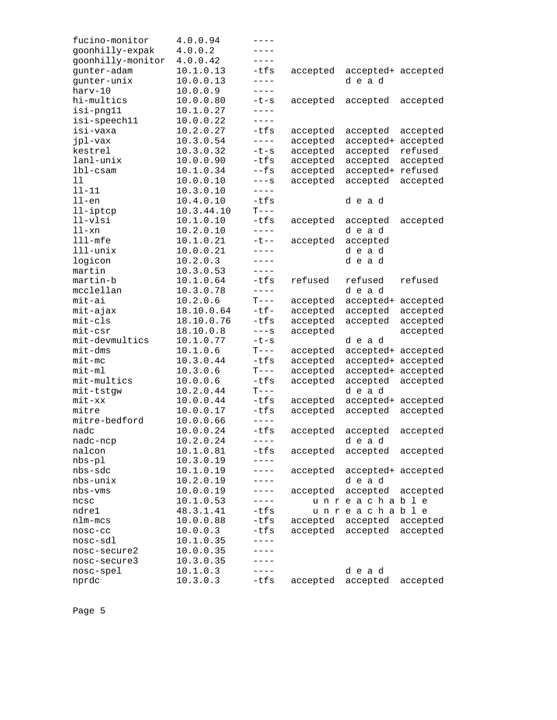| fucino-monitor       | 4.0.0.94   | ----        |          |                    |          |
|----------------------|------------|-------------|----------|--------------------|----------|
| goonhilly-expak      | 4.0.0.2    | ----        |          |                    |          |
| goonhilly-monitor    | 4.0.0.42   | $- - - -$   |          |                    |          |
| gunter-adam          | 10.1.0.13  | $-tfs$      | accepted | accepted+ accepted |          |
| gunter-unix          | 10.0.0.13  | $- - - -$   |          | dead               |          |
| harv-10              | 10.0.0.9   | $- - - -$   |          |                    |          |
| hi-multics           | 10.0.0.80  | $-t-s$      | accepted | accepted           | accepted |
| isi-png11            | 10.1.0.27  | ----        |          |                    |          |
| isi-speech11         | 10.0.0.22  | $- - - -$   |          |                    |          |
| isi-vaxa             | 10.2.0.27  | -tfs        | accepted | accepted           | accepted |
| jpl-vax              | 10.3.0.54  | $- - - -$   | accepted | accepted+          | accepted |
| kestrel              | 10.3.0.32  | $-t-s$      | accepted | accepted           | refused  |
| lanl-unix            | 10.0.0.90  | $-tfs$      | accepted | accepted           | accepted |
| $1b1-cs$ am          | 10.1.0.34  | $-$ fs      | accepted | accepted+          | refused  |
| 11                   | 10.0.0.10  | $---S$      |          |                    |          |
|                      |            | $---$       | accepted | accepted           | accepted |
| $11 - 11$            | 10.3.0.10  | $-tfs$      |          |                    |          |
| $11$ -en             | 10.4.0.10  |             |          | dead               |          |
| $11$ -iptcp          | 10.3.44.10 | $T---$      |          |                    |          |
| $11-v1si$            | 10.1.0.10  | $-tfs$      | accepted | accepted           | accepted |
| $11 - xn$            | 10.2.0.10  | $- - - -$   |          | dead               |          |
| $lll$ -mfe           | 10.1.0.21  | $-t$ --     | accepted | accepted           |          |
| $111 - \text{unitx}$ | 10.0.0.21  | $- - - -$   |          | dead               |          |
| logicon              | 10.2.0.3   | $- - - -$   |          | dead               |          |
| martin               | 10.3.0.53  | $- - - -$   |          |                    |          |
| martin-b             | 10.1.0.64  | $-tfs$      | refused  | refused            | refused  |
| mcclellan            | 10.3.0.78  | $- - - - -$ |          | dead               |          |
| mit-ai               | 10.2.0.6   | $T---$      | accepted | accepted+ accepted |          |
| mit-ajax             | 18.10.0.64 | $-tf-$      | accepted | accepted           | accepted |
| $mit-cls$            | 18.10.0.76 | -tfs        | accepted | accepted           | accepted |
| $mit-csr$            | 18.10.0.8  | $---S$      | accepted |                    | accepted |
| mit-devmultics       | 10.1.0.77  | $-t-s$      |          | dead               |          |
| $mit$ -dm $s$        | 10.1.0.6   | $T---$      | accepted | accepted+ accepted |          |
| $mit-mc$             | 10.3.0.44  | $-tfs$      | accepted | accepted+ accepted |          |
| $mit-m1$             | 10.3.0.6   | $T---$      | accepted | accepted+ accepted |          |
| mit-multics          | 10.0.0.6   | $-tfs$      | accepted | accepted           | accepted |
| mit-tstgw            | 10.2.0.44  | $T---$      |          | dead               |          |
| mit-xx               | 10.0.0.44  | $-tfs$      | accepted | accepted+ accepted |          |
| mitre                | 10.0.0.17  | $-tfs$      | accepted | accepted           | accepted |
| mitre-bedford        | 10.0.0.66  | $- - - - -$ |          |                    |          |
|                      |            | $-tfs$      |          |                    |          |
| nadc                 | 10.0.0.24  |             | accepted | accepted           | accepted |
| nadc-ncp             | 10.2.0.24  |             |          | dead               |          |
| nalcon               | 10.1.0.81  | -tfs        | accepted | accepted           | accepted |
| $nbs-p1$             | 10.3.0.19  | $---$       |          |                    |          |
| nbs-sdc              | 10.1.0.19  | ----        | accepted | accepted+ accepted |          |
| nbs-unix             | 10.2.0.19  | $-- - -$    |          | dead               |          |
| nbs-vms              | 10.0.0.19  | $-- - -$    | accepted | accepted           | accepted |
| ncsc                 | 10.1.0.53  | ----        |          | unreachable        |          |
| ndre1                | 48.3.1.41  | $-tfs$      |          | unreachable        |          |
| nlm-mcs              | 10.0.0.88  | -tfs        | accepted | accepted           | accepted |
| nosc-cc              | 10.0.0.3   | -tfs        | accepted | accepted           | accepted |
| nosc-sdl             | 10.1.0.35  | ----        |          |                    |          |
| nosc-secure2         | 10.0.0.35  |             |          |                    |          |
| nosc-secure3         | 10.3.0.35  | $- - - -$   |          |                    |          |
| nosc-spel            | 10.1.0.3   | $- - - -$   |          | dead               |          |
| nprdc                | 10.3.0.3   | -tfs        | accepted | accepted           | accepted |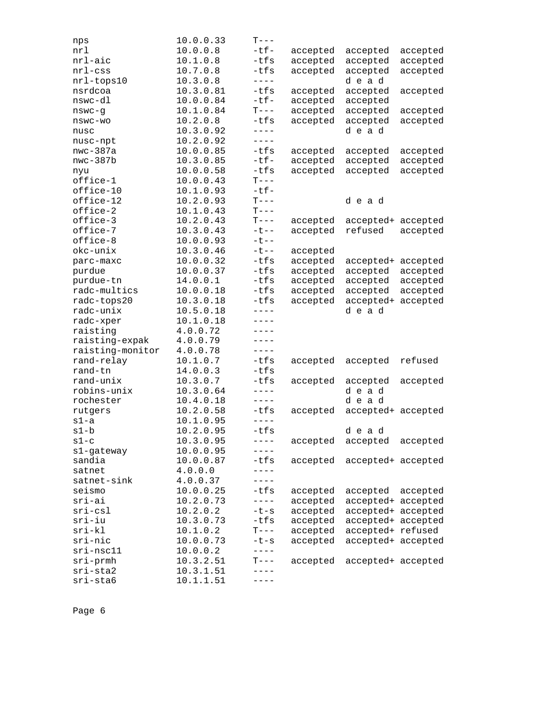| nps              | 10.0.0.33 | $T---$                                                                                                                                                                                                                                                                                                                                                                                                                                                                                                     |          |                    |          |
|------------------|-----------|------------------------------------------------------------------------------------------------------------------------------------------------------------------------------------------------------------------------------------------------------------------------------------------------------------------------------------------------------------------------------------------------------------------------------------------------------------------------------------------------------------|----------|--------------------|----------|
| nrl              | 10.0.0.8  | $-tf-$                                                                                                                                                                                                                                                                                                                                                                                                                                                                                                     | accepted | accepted           | accepted |
| nrl-aic          | 10.1.0.8  | $-tfs$                                                                                                                                                                                                                                                                                                                                                                                                                                                                                                     | accepted | accepted           | accepted |
| $nrl$ -css       | 10.7.0.8  | -tfs                                                                                                                                                                                                                                                                                                                                                                                                                                                                                                       | accepted | accepted           | accepted |
| nrl-tops10       | 10.3.0.8  | $---$                                                                                                                                                                                                                                                                                                                                                                                                                                                                                                      |          | dead               |          |
| nsrdcoa          | 10.3.0.81 | -tfs                                                                                                                                                                                                                                                                                                                                                                                                                                                                                                       | accepted | accepted           | accepted |
| nswc-dl          | 10.0.0.84 | $-tf-$                                                                                                                                                                                                                                                                                                                                                                                                                                                                                                     | accepted | accepted           |          |
| nswc-g           | 10.1.0.84 | $T---$                                                                                                                                                                                                                                                                                                                                                                                                                                                                                                     | accepted | accepted           | accepted |
| nswc-wo          | 10.2.0.8  | -tfs                                                                                                                                                                                                                                                                                                                                                                                                                                                                                                       | accepted | accepted           | accepted |
| nusc             | 10.3.0.92 | $- - - -$                                                                                                                                                                                                                                                                                                                                                                                                                                                                                                  |          | dead               |          |
| nusc-npt         | 10.2.0.92 | $---$                                                                                                                                                                                                                                                                                                                                                                                                                                                                                                      |          |                    |          |
| $nwc-387a$       | 10.0.0.85 | -tfs                                                                                                                                                                                                                                                                                                                                                                                                                                                                                                       | accepted | accepted           | accepted |
| $nwc-387b$       | 10.3.0.85 | $-tf-$                                                                                                                                                                                                                                                                                                                                                                                                                                                                                                     | accepted | accepted           | accepted |
| nyu              | 10.0.0.58 | -tfs                                                                                                                                                                                                                                                                                                                                                                                                                                                                                                       | accepted | accepted           | accepted |
| office-1         | 10.0.0.43 | $T---$                                                                                                                                                                                                                                                                                                                                                                                                                                                                                                     |          |                    |          |
| office-10        | 10.1.0.93 | $-tf-$                                                                                                                                                                                                                                                                                                                                                                                                                                                                                                     |          |                    |          |
| office-12        | 10.2.0.93 | $\mathbf{T}--% \begin{pmatrix} \mathbf{T} & \mathbf{T}% & \mathbf{T} & \mathbf{T}% & \mathbf{T} & \mathbf{T}% & \mathbf{T} & \mathbf{T} & \mathbf{T} \\ \mathbf{T} & \mathbf{T} & \mathbf{T} & \mathbf{T} & \mathbf{T} \\ \mathbf{T} & \mathbf{T} & \mathbf{T} & \mathbf{T} & \mathbf{T} \\ \mathbf{T} & \mathbf{T} & \mathbf{T} & \mathbf{T} \\ \mathbf{T} & \mathbf{T} & \mathbf{T} & \mathbf{T} \\ \mathbf{T} & \mathbf{T} & \mathbf{T} & \mathbf{T} \\ \mathbf{T} & \mathbf{T} & \mathbf{T} & \mathbf$ |          | dead               |          |
| office-2         | 10.1.0.43 | $T---$                                                                                                                                                                                                                                                                                                                                                                                                                                                                                                     |          |                    |          |
| office-3         | 10.2.0.43 | $T---$                                                                                                                                                                                                                                                                                                                                                                                                                                                                                                     | accepted | accepted+          | accepted |
| office-7         | 10.3.0.43 | $-t$ - $-$                                                                                                                                                                                                                                                                                                                                                                                                                                                                                                 | accepted | refused            | accepted |
| office-8         | 10.0.0.93 | $-t$ - $-$                                                                                                                                                                                                                                                                                                                                                                                                                                                                                                 |          |                    |          |
| okc-unix         | 10.3.0.46 | $-t$ --                                                                                                                                                                                                                                                                                                                                                                                                                                                                                                    | accepted |                    |          |
| parc-maxc        | 10.0.0.32 | -tfs                                                                                                                                                                                                                                                                                                                                                                                                                                                                                                       | accepted | accepted+          | accepted |
| purdue           | 10.0.0.37 | -tfs                                                                                                                                                                                                                                                                                                                                                                                                                                                                                                       | accepted | accepted           | accepted |
| purdue-tn        | 14.0.0.1  | $-tfs$                                                                                                                                                                                                                                                                                                                                                                                                                                                                                                     | accepted | accepted           | accepted |
| radc-multics     | 10.0.0.18 | -tfs                                                                                                                                                                                                                                                                                                                                                                                                                                                                                                       | accepted | accepted           | accepted |
| radc-tops20      | 10.3.0.18 | -tfs                                                                                                                                                                                                                                                                                                                                                                                                                                                                                                       | accepted | accepted+          | accepted |
| radc-unix        | 10.5.0.18 | $- - - -$                                                                                                                                                                                                                                                                                                                                                                                                                                                                                                  |          | dead               |          |
| radc-xper        | 10.1.0.18 | $---$                                                                                                                                                                                                                                                                                                                                                                                                                                                                                                      |          |                    |          |
| raisting         | 4.0.0.72  | $---$                                                                                                                                                                                                                                                                                                                                                                                                                                                                                                      |          |                    |          |
| raisting-expak   | 4.0.0.79  | $---$                                                                                                                                                                                                                                                                                                                                                                                                                                                                                                      |          |                    |          |
| raisting-monitor | 4.0.0.78  | $---$                                                                                                                                                                                                                                                                                                                                                                                                                                                                                                      |          |                    |          |
| rand-relay       | 10.1.0.7  | $-tfs$                                                                                                                                                                                                                                                                                                                                                                                                                                                                                                     | accepted | accepted           | refused  |
| rand-tn          | 14.0.0.3  | $-tfs$                                                                                                                                                                                                                                                                                                                                                                                                                                                                                                     |          |                    |          |
| rand-unix        | 10.3.0.7  | $-tfs$                                                                                                                                                                                                                                                                                                                                                                                                                                                                                                     | accepted | accepted           | accepted |
| robins-unix      | 10.3.0.64 | $---$                                                                                                                                                                                                                                                                                                                                                                                                                                                                                                      |          | dead               |          |
| rochester        | 10.4.0.18 | $---$                                                                                                                                                                                                                                                                                                                                                                                                                                                                                                      |          | dead               |          |
| rutgers          | 10.2.0.58 | -tfs                                                                                                                                                                                                                                                                                                                                                                                                                                                                                                       | accepted | accepted+ accepted |          |
| $s1-a$           | 10.1.0.95 | $\frac{1}{2} + \frac{1}{2} + \frac{1}{2} + \frac{1}{2} + \frac{1}{2} + \frac{1}{2} + \frac{1}{2} + \frac{1}{2} + \frac{1}{2} + \frac{1}{2} + \frac{1}{2} + \frac{1}{2} + \frac{1}{2} + \frac{1}{2} + \frac{1}{2} + \frac{1}{2} + \frac{1}{2} + \frac{1}{2} + \frac{1}{2} + \frac{1}{2} + \frac{1}{2} + \frac{1}{2} + \frac{1}{2} + \frac{1}{2} + \frac{1}{2} + \frac{1}{2} + \frac{1}{2} + \frac{1$                                                                                                        |          |                    |          |
| s1-b             | 10.2.0.95 | $-tfs$                                                                                                                                                                                                                                                                                                                                                                                                                                                                                                     |          | dead               |          |
| $s1-c$           | 10.3.0.95 | $---$                                                                                                                                                                                                                                                                                                                                                                                                                                                                                                      | accepted | accepted           | accepted |
| s1-gateway       | 10.0.0.95 | $---$                                                                                                                                                                                                                                                                                                                                                                                                                                                                                                      |          |                    |          |
| sandia           | 10.0.0.87 | -tfs                                                                                                                                                                                                                                                                                                                                                                                                                                                                                                       | accepted | accepted+ accepted |          |
| satnet           | 4.0.0.0   |                                                                                                                                                                                                                                                                                                                                                                                                                                                                                                            |          |                    |          |
| satnet-sink      | 4.0.0.37  | $---$                                                                                                                                                                                                                                                                                                                                                                                                                                                                                                      |          |                    |          |
| seismo           | 10.0.0.25 | -tfs                                                                                                                                                                                                                                                                                                                                                                                                                                                                                                       | accepted | accepted           | accepted |
| $sri-ai$         | 10.2.0.73 | $---$                                                                                                                                                                                                                                                                                                                                                                                                                                                                                                      | accepted | accepted+ accepted |          |
| $sri-csl$        | 10.2.0.2  | $-t-s$                                                                                                                                                                                                                                                                                                                                                                                                                                                                                                     | accepted | accepted+ accepted |          |
| $sri-iu$         | 10.3.0.73 | $-tfs$                                                                                                                                                                                                                                                                                                                                                                                                                                                                                                     | accepted | accepted+ accepted |          |
| $sri-kl$         | 10.1.0.2  | $T---$                                                                                                                                                                                                                                                                                                                                                                                                                                                                                                     | accepted | accepted+ refused  |          |
| sri-nic          | 10.0.0.73 | $-t-s$                                                                                                                                                                                                                                                                                                                                                                                                                                                                                                     | accepted | accepted+ accepted |          |
| $sri-nsc11$      | 10.0.0.2  | $- - - -$                                                                                                                                                                                                                                                                                                                                                                                                                                                                                                  |          |                    |          |
| $sri$ -prmh      | 10.3.2.51 | $T---$                                                                                                                                                                                                                                                                                                                                                                                                                                                                                                     | accepted | accepted+ accepted |          |
| sri-sta2         | 10.3.1.51 |                                                                                                                                                                                                                                                                                                                                                                                                                                                                                                            |          |                    |          |
| sri-sta6         | 10.1.1.51 | ----                                                                                                                                                                                                                                                                                                                                                                                                                                                                                                       |          |                    |          |
|                  |           |                                                                                                                                                                                                                                                                                                                                                                                                                                                                                                            |          |                    |          |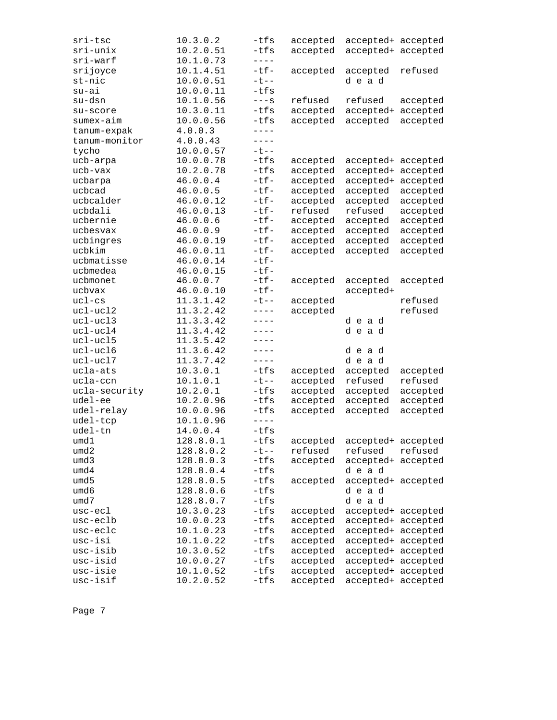| sri-tsc       | 10.3.0.2               | -tfs         | accepted             | accepted+ accepted                       |          |
|---------------|------------------------|--------------|----------------------|------------------------------------------|----------|
| sri-unix      | 10.2.0.51              | -tfs         | accepted             | accepted+ accepted                       |          |
| sri-warf      | 10.1.0.73              | $- - - -$    |                      |                                          |          |
| srijoyce      | 10.1.4.51              | $-tf-$       | accepted             | accepted                                 | refused  |
| st-nic        | 10.0.0.51              | $- t - -$    |                      | dead                                     |          |
| $su-ai$       | 10.0.0.11              | $-tfs$       |                      |                                          |          |
| su-dsn        | 10.1.0.56              | $---s$       | refused              | refused                                  | accepted |
| su-score      | 10.3.0.11              | -tfs         | accepted             | accepted+                                | accepted |
| sumex-aim     | 10.0.0.56              | $-tfs$       | accepted             | accepted                                 | accepted |
| tanum-expak   | 4.0.0.3                | $- - - -$    |                      |                                          |          |
| tanum-monitor | 4.0.0.43               | $---$        |                      |                                          |          |
| tycho         | 10.0.0.57              | $- t - -$    |                      |                                          |          |
| ucb-arpa      | 10.0.0.78              | -tfs         | accepted             | accepted+ accepted                       |          |
| ucb-vax       | 10.2.0.78              | -tfs         | accepted             | accepted+                                | accepted |
| ucbarpa       | 46.0.0.4               | -tf-         | accepted             | accepted+                                | accepted |
| ucbcad        | 46.0.0.5               | $-tf-$       | accepted             | accepted                                 | accepted |
| ucbcalder     | 46.0.0.12              | $-tf-$       | accepted             | accepted                                 | accepted |
| ucbdali       | 46.0.0.13              | $-tf-$       | refused              | refused                                  | accepted |
| ucbernie      | 46.0.0.6               | $-tf-$       | accepted             | accepted                                 | accepted |
| ucbesvax      | 46.0.0.9               | $-tf-$       | accepted             | accepted                                 | accepted |
| ucbingres     | 46.0.0.19              | $-tf-$       | accepted             | accepted                                 | accepted |
| ucbkim        | 46.0.0.11              | $-tf-$       | accepted             | accepted                                 | accepted |
| ucbmatisse    | 46.0.0.14              | $-tf-$       |                      |                                          |          |
| ucbmedea      | 46.0.0.15              | $-tf-$       |                      |                                          |          |
| ucbmonet      | 46.0.0.7               | $-tf-$       | accepted             | accepted                                 | accepted |
| ucbvax        | 46.0.0.10              | $-tf-$       |                      | accepted+                                |          |
| $uc1-cs$      | 11.3.1.42              | $-t$ --      | accepted             |                                          | refused  |
| ucl-ucl2      | 11.3.2.42              | $---$        | accepted             |                                          | refused  |
| ucl-ucl3      | 11.3.3.42              | $---$        |                      | dead                                     |          |
| ucl-ucl4      | 11.3.4.42              | $----$       |                      | dead                                     |          |
| ucl-ucl5      | 11.3.5.42              | $---$        |                      |                                          |          |
| ucl-ucl6      | 11.3.6.42              | $---$        |                      | dead                                     |          |
| ucl-ucl7      | 11.3.7.42              | $---$        |                      | dead                                     |          |
| ucla-ats      | 10.3.0.1               | $-tfs$       | accepted             | accepted                                 | accepted |
| ucla-ccn      | 10.1.0.1               | $-t$ --      | accepted             | refused                                  | refused  |
| ucla-security | 10.2.0.1               | -tfs         | accepted             | accepted                                 | accepted |
| udel-ee       | 10.2.0.96              | -tfs         | accepted             | accepted                                 | accepted |
| udel-relay    | 10.0.0.96              | $-tfs$       | accepted             | accepted                                 | accepted |
| udel-tcp      | 10.1.0.96              | $---$        |                      |                                          |          |
| udel-tn       | 14.0.0.4               | $-tfs$       |                      |                                          |          |
| umd1          | 128.8.0.1              | $-tfs$       | accepted             | accepted+ accepted                       |          |
| umd2          | 128.8.0.2              | $- t - -$    | refused              | refused                                  | refused  |
| umd3          | 128.8.0.3              | -tfs         | accepted             | accepted+ accepted                       |          |
| umd4          | 128.8.0.4              | -tfs         |                      | dead                                     |          |
| umd5          | 128.8.0.5              | -tfs         | accepted             | accepted+ accepted                       |          |
| umd6          | 128.8.0.6              | -tfs         |                      | dead                                     |          |
| umd7          | 128.8.0.7              | -tfs         |                      | dead                                     |          |
| usc-ecl       | 10.3.0.23              | -tfs         |                      |                                          |          |
| usc-eclb      | 10.0.0.23              | -tfs         | accepted             | accepted+ accepted<br>accepted+ accepted |          |
| usc-eclc      | 10.1.0.23              | -tfs         | accepted<br>accepted | accepted+ accepted                       |          |
| usc-isi       | 10.1.0.22              | -tfs         |                      | accepted+ accepted                       |          |
| usc-isib      | 10.3.0.52              | $-tfs$       | accepted             | accepted+ accepted                       |          |
| usc-isid      | 10.0.0.27              | $-tfs$       | accepted             |                                          |          |
| usc-isie      |                        |              | accepted<br>accepted | accepted+ accepted                       |          |
| usc-isif      | 10.1.0.52<br>10.2.0.52 | -tfs<br>-tfs | accepted             | accepted+ accepted<br>accepted+ accepted |          |
|               |                        |              |                      |                                          |          |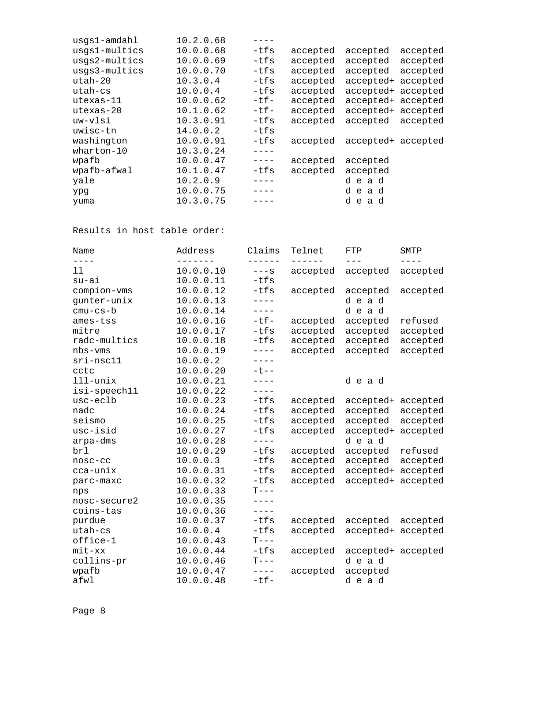| usgs1-amdahl  | 10.2.0.68 |            |          |                    |          |
|---------------|-----------|------------|----------|--------------------|----------|
| usgs1-multics | 10.0.0.68 | -tfs       | accepted | accepted           | accepted |
| usgs2-multics | 10.0.0.69 | -tfs       | accepted | accepted           | accepted |
| usgs3-multics | 10.0.0.70 | -tfs       | accepted | accepted           | accepted |
| $uth-20$      | 10.3.0.4  | -tfs       | accepted | accepted+ accepted |          |
| $uth - cs$    | 10.0.0.4  | $-tfs$     | accepted | accepted+ accepted |          |
| $utesas-11$   | 10.0.0.62 | $-t$ $f -$ | accepted | accepted+ accepted |          |
| $utesas-20$   | 10.1.0.62 | -tf-       | accepted | accepted+ accepted |          |
| uw-vlsi       | 10.3.0.91 | $-tfs$     | accepted | accepted           | accepted |
| uwisc-tn      | 14.0.0.2  | -tfs       |          |                    |          |
| washington    | 10.0.0.91 | -tfs       | accepted | accepted+ accepted |          |
| wharton-10    | 10.3.0.24 |            |          |                    |          |
| wpafb         | 10.0.0.47 | $- - - -$  | accepted | accepted           |          |
| wpafb-afwal   | 10.1.0.47 | -tfs       | accepted | accepted           |          |
| yale          | 10.2.0.9  |            |          | dead               |          |
| ypg           | 10.0.0.75 |            |          | dead               |          |
| yuma          | 10.3.0.75 |            |          | dead               |          |
|               |           |            |          |                    |          |

Results in host table order:

| Address<br>Name           | Claims          | Telnet   | FTP                | SMTP     |
|---------------------------|-----------------|----------|--------------------|----------|
| ----<br>11<br>10.0.0.10   | -----<br>$---S$ |          |                    |          |
| 10.0.0.11<br>$su-ai$      | $-tfs$          | accepted | accepted           | accepted |
|                           |                 |          |                    |          |
| 10.0.0.12<br>compion-vms  | $-tfs$          | accepted | accepted           | accepted |
| gunter-unix<br>10.0.0.13  | $---$           |          | dead               |          |
| 10.0.0.14<br>$cmu-cs-b$   | $---$           |          | dead               |          |
| 10.0.0.16<br>ames-tss     | $-tf-$          | accepted | accepted           | refused  |
| 10.0.0.17<br>mitre        | $-tfs$          | accepted | accepted           | accepted |
| 10.0.0.18<br>radc-multics | $-tfs$          | accepted | accepted           | accepted |
| 10.0.0.19<br>$nbs-vms$    | $---$           | accepted | accepted           | accepted |
| 10.0.0.2<br>$sri-nsc11$   | $---$           |          |                    |          |
| 10.0.0.20<br>cctc         | $-t$ --         |          |                    |          |
| $111 -$ unix<br>10.0.0.21 | $- - - -$       |          | dead               |          |
| 10.0.0.22<br>isi-speech11 | $- - - -$       |          |                    |          |
| 10.0.0.23<br>usc-eclb     | $-tfs$          | accepted | accepted+          | accepted |
| 10.0.0.24<br>nadc         | $-tfs$          | accepted | accepted           | accepted |
| seismo<br>10.0.0.25       | $-tfs$          | accepted | accepted           | accepted |
| 10.0.0.27<br>usc-isid     | $-tfs$          | accepted | accepted+          | accepted |
| 10.0.0.28<br>arpa-dms     | $---$           |          | dead               |          |
| 10.0.0.29<br>brl          | $-tfs$          | accepted | accepted           | refused  |
| 10.0.0.3<br>nosc-cc       | $-tfs$          | accepted | accepted           | accepted |
| 10.0.0.31<br>cca-unix     | $-tfs$          | accepted | accepted+          | accepted |
| 10.0.0.32<br>parc-maxc    | $-tfs$          | accepted | accepted+ accepted |          |
| 10.0.0.33<br>nps          | $T---$          |          |                    |          |
| 10.0.0.35<br>nosc-secure2 | ----            |          |                    |          |
| 10.0.0.36<br>coins-tas    | $---$           |          |                    |          |
| 10.0.0.37<br>purdue       | $-tfs$          | accepted | accepted           | accepted |
| utah-cs<br>10.0.0.4       | $-tfs$          | accepted | accepted+          | accepted |
| office-1<br>10.0.0.43     | $T--$           |          |                    |          |
| 10.0.0.44<br>$mit - xx$   | $-tfs$          | accepted | accepted+ accepted |          |
| 10.0.0.46<br>collins-pr   | $T--$           |          | dead               |          |
| 10.0.0.47<br>wpafb        | $- - - -$       | accepted | accepted           |          |
| 10.0.0.48<br>afwl         | $-tf-$          |          | dead               |          |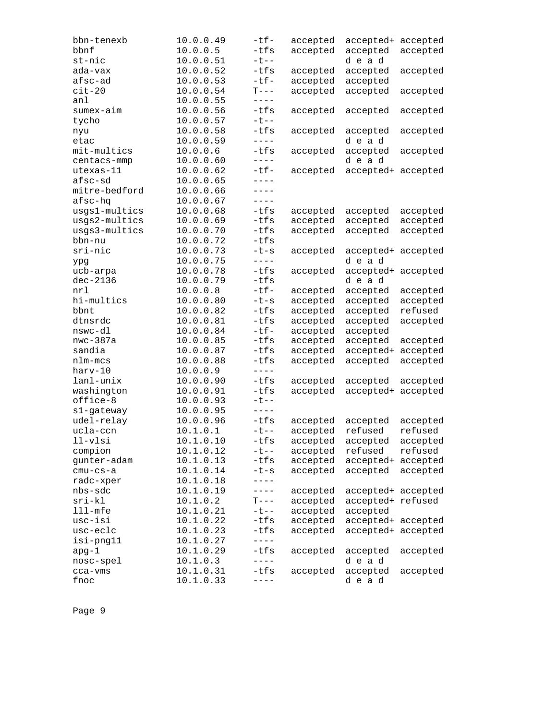| bbn-tenexb    | 10.0.0.49 | $-tf-$                                                                                                                                                                                                                                                                                                                                                                                       | accepted | accepted+ accepted |          |
|---------------|-----------|----------------------------------------------------------------------------------------------------------------------------------------------------------------------------------------------------------------------------------------------------------------------------------------------------------------------------------------------------------------------------------------------|----------|--------------------|----------|
| bbnf          | 10.0.0.5  | $-tfs$                                                                                                                                                                                                                                                                                                                                                                                       | accepted | accepted           | accepted |
| st-nic        | 10.0.0.51 | $-t$ --                                                                                                                                                                                                                                                                                                                                                                                      |          | dead               |          |
| ada-vax       | 10.0.0.52 | -tfs                                                                                                                                                                                                                                                                                                                                                                                         | accepted | accepted           | accepted |
| afsc-ad       | 10.0.0.53 | $-tf-$                                                                                                                                                                                                                                                                                                                                                                                       | accepted | accepted           |          |
| $cit-20$      | 10.0.0.54 | $T---$                                                                                                                                                                                                                                                                                                                                                                                       | accepted | accepted           | accepted |
| anl           | 10.0.0.55 | $- - - -$                                                                                                                                                                                                                                                                                                                                                                                    |          |                    |          |
| sumex-aim     | 10.0.0.56 | -tfs                                                                                                                                                                                                                                                                                                                                                                                         | accepted | accepted           | accepted |
| tycho         | 10.0.0.57 | $-t$ - $-$                                                                                                                                                                                                                                                                                                                                                                                   |          |                    |          |
| nyu           | 10.0.0.58 | $-tfs$                                                                                                                                                                                                                                                                                                                                                                                       | accepted | accepted           | accepted |
| etac          | 10.0.0.59 | $- - - -$                                                                                                                                                                                                                                                                                                                                                                                    |          | dead               |          |
| mit-multics   | 10.0.0.6  | $-tfs$                                                                                                                                                                                                                                                                                                                                                                                       | accepted | accepted           | accepted |
| centacs-mmp   | 10.0.0.60 | $\frac{1}{2} \frac{1}{2} \frac{1}{2} \frac{1}{2} \frac{1}{2} \frac{1}{2} \frac{1}{2} \frac{1}{2} \frac{1}{2} \frac{1}{2} \frac{1}{2} \frac{1}{2} \frac{1}{2} \frac{1}{2} \frac{1}{2} \frac{1}{2} \frac{1}{2} \frac{1}{2} \frac{1}{2} \frac{1}{2} \frac{1}{2} \frac{1}{2} \frac{1}{2} \frac{1}{2} \frac{1}{2} \frac{1}{2} \frac{1}{2} \frac{1}{2} \frac{1}{2} \frac{1}{2} \frac{1}{2} \frac{$ |          | dead               |          |
| utexas-11     | 10.0.0.62 | $-tf-$                                                                                                                                                                                                                                                                                                                                                                                       | accepted | accepted+ accepted |          |
| afsc-sd       | 10.0.0.65 | $- - - -$                                                                                                                                                                                                                                                                                                                                                                                    |          |                    |          |
| mitre-bedford | 10.0.0.66 | $---$                                                                                                                                                                                                                                                                                                                                                                                        |          |                    |          |
| afsc-hq       | 10.0.0.67 | $- - - -$                                                                                                                                                                                                                                                                                                                                                                                    |          |                    |          |
| usgs1-multics | 10.0.0.68 | -tfs                                                                                                                                                                                                                                                                                                                                                                                         | accepted | accepted           | accepted |
| usgs2-multics | 10.0.0.69 | -tfs                                                                                                                                                                                                                                                                                                                                                                                         | accepted | accepted           | accepted |
| usgs3-multics | 10.0.0.70 | -tfs                                                                                                                                                                                                                                                                                                                                                                                         | accepted | accepted           | accepted |
| bbn-nu        | 10.0.0.72 | $-tfs$                                                                                                                                                                                                                                                                                                                                                                                       |          |                    |          |
| sri-nic       | 10.0.0.73 | $-t-s$                                                                                                                                                                                                                                                                                                                                                                                       | accepted | accepted+ accepted |          |
| ypg           | 10.0.0.75 | $- - - -$                                                                                                                                                                                                                                                                                                                                                                                    |          | dead               |          |
| ucb-arpa      | 10.0.0.78 | $-tfs$                                                                                                                                                                                                                                                                                                                                                                                       | accepted | accepted+ accepted |          |
| $dec-2136$    | 10.0.0.79 | -tfs                                                                                                                                                                                                                                                                                                                                                                                         |          | dead               |          |
| nrl           | 10.0.0.8  | $-tf-$                                                                                                                                                                                                                                                                                                                                                                                       | accepted | accepted           | accepted |
| hi-multics    | 10.0.0.80 | $-t-s$                                                                                                                                                                                                                                                                                                                                                                                       | accepted | accepted           | accepted |
| bbnt          | 10.0.0.82 | -tfs                                                                                                                                                                                                                                                                                                                                                                                         | accepted | accepted           | refused  |
| dtnsrdc       | 10.0.0.81 | -tfs                                                                                                                                                                                                                                                                                                                                                                                         | accepted | accepted           | accepted |
| nswc-dl       | 10.0.0.84 | $-tf-$                                                                                                                                                                                                                                                                                                                                                                                       | accepted | accepted           |          |
| $nwc-387a$    | 10.0.0.85 | -tfs                                                                                                                                                                                                                                                                                                                                                                                         | accepted | accepted           | accepted |
| sandia        | 10.0.0.87 | -tfs                                                                                                                                                                                                                                                                                                                                                                                         | accepted | accepted+          | accepted |
| nlm-mcs       | 10.0.0.88 | $-tfs$                                                                                                                                                                                                                                                                                                                                                                                       | accepted | accepted           | accepted |
| harv-10       | 10.0.0.9  | $- - - -$                                                                                                                                                                                                                                                                                                                                                                                    |          |                    |          |
| lanl-unix     | 10.0.0.90 | -tfs                                                                                                                                                                                                                                                                                                                                                                                         | accepted | accepted           | accepted |
| washington    | 10.0.0.91 | $-tfs$                                                                                                                                                                                                                                                                                                                                                                                       | accepted | accepted+ accepted |          |
| office-8      | 10.0.0.93 | $-t$ $-$                                                                                                                                                                                                                                                                                                                                                                                     |          |                    |          |
| s1-gateway    | 10.0.0.95 | $- - - -$                                                                                                                                                                                                                                                                                                                                                                                    |          |                    |          |
| udel-relay    | 10.0.0.96 | $-tfs$                                                                                                                                                                                                                                                                                                                                                                                       | accepted | accepted           | accepted |
| ucla-ccn      | 10.1.0.1  | $-t$ --                                                                                                                                                                                                                                                                                                                                                                                      | accepted | refused            | refused  |
| $11-v1si$     | 10.1.0.10 | $-tfs$                                                                                                                                                                                                                                                                                                                                                                                       | accepted | accepted           | accepted |
| compion       | 10.1.0.12 | $-t$ $-$                                                                                                                                                                                                                                                                                                                                                                                     | accepted | refused            | refused  |
| gunter-adam   | 10.1.0.13 | $-tfs$                                                                                                                                                                                                                                                                                                                                                                                       | accepted | accepted+ accepted |          |
| $cmu-cs-a$    | 10.1.0.14 | $-t-s$                                                                                                                                                                                                                                                                                                                                                                                       | accepted | accepted           | accepted |
| radc-xper     | 10.1.0.18 | ----                                                                                                                                                                                                                                                                                                                                                                                         |          |                    |          |
| nbs-sdc       | 10.1.0.19 | $---$                                                                                                                                                                                                                                                                                                                                                                                        | accepted | accepted+ accepted |          |
| $sri-kl$      | 10.1.0.2  | $T---$                                                                                                                                                                                                                                                                                                                                                                                       | accepted | accepted+ refused  |          |
| $lll$ -mfe    | 10.1.0.21 | $-t$ --                                                                                                                                                                                                                                                                                                                                                                                      | accepted | accepted           |          |
| usc-isi       | 10.1.0.22 | -tfs                                                                                                                                                                                                                                                                                                                                                                                         | accepted | accepted+ accepted |          |
| usc-eclc      | 10.1.0.23 | $-tfs$                                                                                                                                                                                                                                                                                                                                                                                       | accepted | accepted+ accepted |          |
| isi-png11     | 10.1.0.27 | $- - - - -$                                                                                                                                                                                                                                                                                                                                                                                  |          |                    |          |
| apg-1         | 10.1.0.29 | $-tfs$                                                                                                                                                                                                                                                                                                                                                                                       | accepted | accepted           | accepted |
| nosc-spel     | 10.1.0.3  | $---$                                                                                                                                                                                                                                                                                                                                                                                        |          | dead               |          |
| cca-vms       | 10.1.0.31 | $-tfs$                                                                                                                                                                                                                                                                                                                                                                                       | accepted | accepted           | accepted |
| fnoc          | 10.1.0.33 | ----                                                                                                                                                                                                                                                                                                                                                                                         |          | dead               |          |
|               |           |                                                                                                                                                                                                                                                                                                                                                                                              |          |                    |          |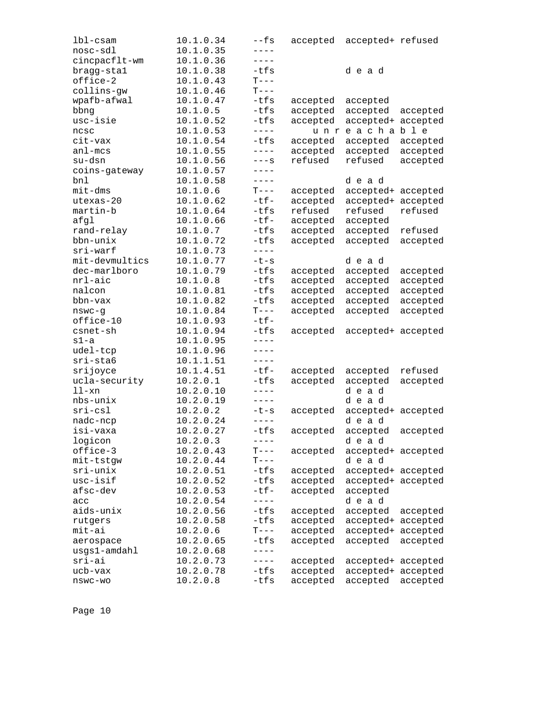| $1b1-cs$ am    | 10.1.0.34 | $--fs$                | accepted | accepted+ refused  |          |
|----------------|-----------|-----------------------|----------|--------------------|----------|
| nosc-sdl       | 10.1.0.35 | $- - - -$             |          |                    |          |
| cincpacflt-wm  | 10.1.0.36 | $- - - - -$           |          |                    |          |
| bragg-stal     | 10.1.0.38 | $-tfs$                |          | dead               |          |
| office-2       | 10.1.0.43 | $T---$                |          |                    |          |
| collins-gw     | 10.1.0.46 | $T---$                |          |                    |          |
| wpafb-afwal    | 10.1.0.47 | -tfs                  | accepted | accepted           |          |
| bbng           | 10.1.0.5  | -tfs                  | accepted | accepted           | accepted |
| usc-isie       | 10.1.0.52 | $-tfs$                | accepted | accepted+          | accepted |
| ncsc           | 10.1.0.53 | $- - - - -$           |          | unreachable        |          |
| cit-vax        | 10.1.0.54 | $-tfs$                | accepted | accepted           | accepted |
| $an1 - mcs$    | 10.1.0.55 | $- - - -$             | accepted | accepted           | accepted |
| su-dsn         | 10.1.0.56 | $---S$                | refused  | refused            | accepted |
| coins-gateway  | 10.1.0.57 | $---$                 |          |                    |          |
| bnl            | 10.1.0.58 | $---$                 |          | dead               |          |
| $mit$ -dms     | 10.1.0.6  | $T---$                | accepted | accepted+ accepted |          |
| utexas-20      | 10.1.0.62 | $-tf-$                | accepted | accepted+          | accepted |
| martin-b       | 10.1.0.64 | -tfs                  | refused  | refused            | refused  |
| afgl           | 10.1.0.66 | $-tf-$                | accepted | accepted           |          |
| rand-relay     | 10.1.0.7  | -tfs                  | accepted | accepted           | refused  |
| bbn-unix       | 10.1.0.72 | $-tfs$                | accepted | accepted           | accepted |
| sri-warf       | 10.1.0.73 | $- - - -$             |          |                    |          |
| mit-devmultics | 10.1.0.77 | $-t-s$                |          | dead               |          |
| dec-marlboro   | 10.1.0.79 | -tfs                  | accepted | accepted           | accepted |
| nrl-aic        | 10.1.0.8  | -tfs                  | accepted | accepted           | accepted |
| nalcon         | 10.1.0.81 | -tfs                  | accepted | accepted           | accepted |
| bbn-vax        | 10.1.0.82 | $-tfs$                | accepted | accepted           | accepted |
| nswc-g         | 10.1.0.84 | $T---$                | accepted | accepted           | accepted |
| office-10      | 10.1.0.93 | $-tf-$                |          |                    |          |
| csnet-sh       | 10.1.0.94 | -tfs                  | accepted | accepted+ accepted |          |
| $s1-a$         | 10.1.0.95 | $- - - -$             |          |                    |          |
| udel-tcp       | 10.1.0.96 | $- - - - -$           |          |                    |          |
| $sri-sta6$     | 10.1.1.51 | $- - - - -$           |          |                    |          |
| srijoyce       | 10.1.4.51 | $-tf-$                | accepted | accepted           | refused  |
| ucla-security  | 10.2.0.1  | -tfs                  | accepted | accepted           | accepted |
| $11-xn$        | 10.2.0.10 | $---$                 |          | dead               |          |
| nbs-unix       | 10.2.0.19 | $- - - - -$           |          | dead               |          |
| $sri-csl$      | 10.2.0.2  | $-t-s$                | accepted | accepted+ accepted |          |
| nadc-ncp       | 10.2.0.24 | $---$                 |          | dead               |          |
| isi-vaxa       | 10.2.0.27 | $-tfs$                | accepted | accepted           | accepted |
| logicon        | 10.2.0.3  | $- - - - -$           |          | d e a d            |          |
| office-3       | 10.2.0.43 | $T---$                | accepted | accepted+ accepted |          |
| mit-tstgw      | 10.2.0.44 | $T---$                |          | dead               |          |
| $sri-unix$     | 10.2.0.51 | $-tfs$                | accepted | accepted+ accepted |          |
| usc-isif       | 10.2.0.52 | -tfs                  | accepted | accepted+ accepted |          |
| afsc-dev       | 10.2.0.53 | $-tf-$                | accepted | accepted           |          |
| acc            | 10.2.0.54 | $- - - - -$           |          | dead               |          |
| aids-unix      | 10.2.0.56 | $-tfs$                | accepted | accepted           | accepted |
| rutgers        | 10.2.0.58 | -tfs                  | accepted | accepted+ accepted |          |
| mit-ai         | 10.2.0.6  | $T---$                |          |                    |          |
|                |           |                       | accepted | accepted+ accepted |          |
| aerospace      | 10.2.0.65 | $-tfs$<br>$- - - - -$ | accepted | accepted           | accepted |
| usgs1-amdahl   | 10.2.0.68 |                       |          |                    |          |
| sri-ai         | 10.2.0.73 | $---$                 | accepted | accepted+ accepted |          |
| ucb-vax        | 10.2.0.78 | -tfs                  | accepted | accepted+ accepted |          |
| nswc-wo        | 10.2.0.8  | -tfs                  | accepted | accepted           | accepted |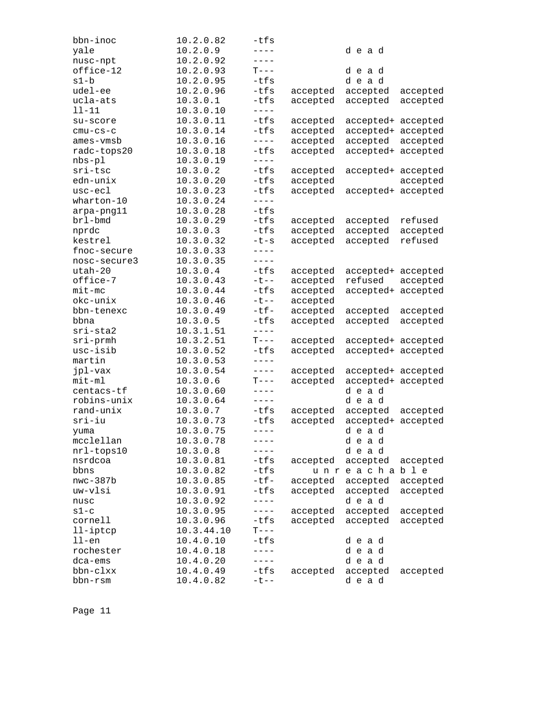| bbn-inoc     | 10.2.0.82  | -tfs      |          |                    |          |
|--------------|------------|-----------|----------|--------------------|----------|
| yale         | 10.2.0.9   | $- - - -$ |          | dead               |          |
| nusc-npt     | 10.2.0.92  | $- - - -$ |          |                    |          |
| office-12    | 10.2.0.93  | $T---$    |          | dead               |          |
| s1-b         | 10.2.0.95  | $-tfs$    |          | dead               |          |
| udel-ee      | 10.2.0.96  | $-tfs$    | accepted | accepted           | accepted |
| ucla-ats     | 10.3.0.1   | $-tfs$    | accepted | accepted           | accepted |
| 11-11        | 10.3.0.10  | $- - - -$ |          |                    |          |
| su-score     | 10.3.0.11  | $-tfs$    | accepted | accepted+ accepted |          |
| $cmu-cs-c$   | 10.3.0.14  | $-tfs$    | accepted | accepted+ accepted |          |
| ames-vmsb    | 10.3.0.16  | $---$     |          |                    |          |
|              |            |           | accepted | accepted           | accepted |
| radc-tops20  | 10.3.0.18  | $-tfs$    | accepted | accepted+ accepted |          |
| $nbs-p1$     | 10.3.0.19  | $---$     |          |                    |          |
| sri-tsc      | 10.3.0.2   | $-tfs$    | accepted | accepted+ accepted |          |
| edn-unix     | 10.3.0.20  | -tfs      | accepted |                    | accepted |
| usc-ecl      | 10.3.0.23  | $-tfs$    | accepted | accepted+ accepted |          |
| $whatton-10$ | 10.3.0.24  | $- - - -$ |          |                    |          |
| arpa-png11   | 10.3.0.28  | $-tfs$    |          |                    |          |
| brl-bmd      | 10.3.0.29  | $-tfs$    | accepted | accepted           | refused  |
| nprdc        | 10.3.0.3   | $-tfs$    | accepted | accepted           | accepted |
| kestrel      | 10.3.0.32  | $-t-s$    | accepted | accepted           | refused  |
| fnoc-secure  | 10.3.0.33  | $---$     |          |                    |          |
| nosc-secure3 | 10.3.0.35  | $- - - -$ |          |                    |          |
| utah-20      | 10.3.0.4   | $-tfs$    | accepted | accepted+ accepted |          |
| office-7     | 10.3.0.43  | $-t$ --   | accepted | refused            | accepted |
| $mit$ -mc    | 10.3.0.44  | $-tfs$    | accepted | accepted+          | accepted |
| okc-unix     | 10.3.0.46  | $-t$ --   | accepted |                    |          |
| bbn-tenexc   | 10.3.0.49  | $-tf-$    | accepted | accepted           | accepted |
| bbna         | 10.3.0.5   | $-tfs$    | accepted | accepted           | accepted |
|              |            | $- - - -$ |          |                    |          |
| sri-sta2     | 10.3.1.51  |           |          |                    |          |
| $sri$ -prmh  | 10.3.2.51  | $T---$    | accepted | accepted+ accepted |          |
| usc-isib     | 10.3.0.52  | $-tfs$    | accepted | accepted+ accepted |          |
| martin       | 10.3.0.53  | $- - - -$ |          |                    |          |
| jpl-vax      | 10.3.0.54  | $- - - -$ | accepted | accepted+ accepted |          |
| mit-ml       | 10.3.0.6   | $T---$    | accepted | accepted+ accepted |          |
| centacs-tf   | 10.3.0.60  | $---$     |          | dead               |          |
| robins-unix  | 10.3.0.64  | $---$     |          | dead               |          |
| rand-unix    | 10.3.0.7   | -tfs      | accepted | accepted           | accepted |
| $sri-iu$     | 10.3.0.73  | $-tfs$    | accepted | accepted+ accepted |          |
| yuma         | 10.3.0.75  | $- - - -$ |          | dead               |          |
| mcclellan    | 10.3.0.78  | $- - - -$ |          | dead               |          |
| nrl-tops10   | 10.3.0.8   | $---$     |          | dead               |          |
| nsrdcoa      | 10.3.0.81  | -tfs      | accepted | accepted           | accepted |
| bbns         | 10.3.0.82  | -tfs      |          | unreachable        |          |
| $nwc-387b$   | 10.3.0.85  | $-tf-$    | accepted | accepted           | accepted |
| uw-vlsi      | 10.3.0.91  | $-tfs$    | accepted | accepted           | accepted |
| nusc         | 10.3.0.92  | $---$     |          | dead               |          |
| $s1-c$       | 10.3.0.95  | $---$     | accepted | accepted           | accepted |
| cornell      | 10.3.0.96  | $-tfs$    | accepted | accepted           | accepted |
| 11-iptcp     | 10.3.44.10 | $T---$    |          |                    |          |
|              |            | $-tfs$    |          | dead               |          |
| $11$ -en     | 10.4.0.10  |           |          |                    |          |
| rochester    | 10.4.0.18  | $---$     |          | dead               |          |
| dca-ems      | 10.4.0.20  | $- - - -$ |          | dead               |          |
| bbn-clxx     | 10.4.0.49  | $-tfs$    | accepted | accepted           | accepted |
| bbn-rsm      | 10.4.0.82  | $-t$ --   |          | dead               |          |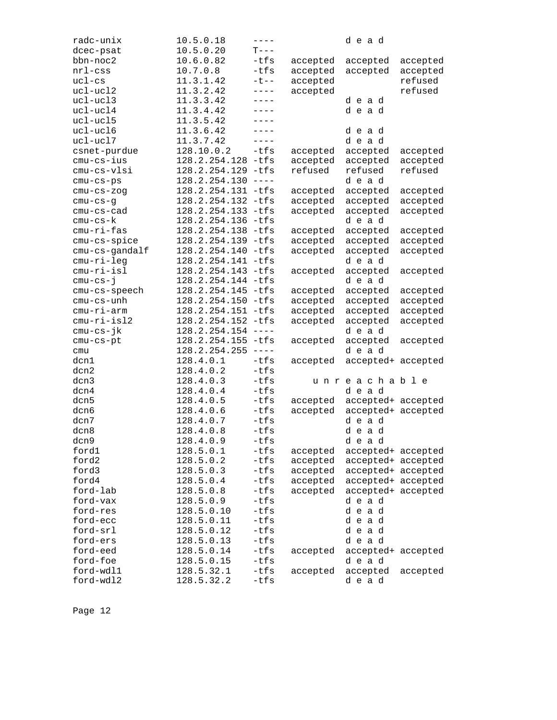| radc-unix      | 10.5.0.18          | $- - - - -$                                                                                                                                                                                                                                                                                                                                                                                  |          | dead               |          |
|----------------|--------------------|----------------------------------------------------------------------------------------------------------------------------------------------------------------------------------------------------------------------------------------------------------------------------------------------------------------------------------------------------------------------------------------------|----------|--------------------|----------|
| dcec-psat      | 10.5.0.20          | $T---$                                                                                                                                                                                                                                                                                                                                                                                       |          |                    |          |
| bbn-noc2       | 10.6.0.82          | $-tfs$                                                                                                                                                                                                                                                                                                                                                                                       | accepted | accepted           | accepted |
| $nrl$ -css     | 10.7.0.8           | -tfs                                                                                                                                                                                                                                                                                                                                                                                         | accepted | accepted           | accepted |
| $uc1-cs$       | 11.3.1.42          | $-t$ --                                                                                                                                                                                                                                                                                                                                                                                      | accepted |                    | refused  |
| ucl-ucl2       | 11.3.2.42          | $- - - -$                                                                                                                                                                                                                                                                                                                                                                                    | accepted |                    | refused  |
| ucl-ucl3       | 11.3.3.42          | $---$                                                                                                                                                                                                                                                                                                                                                                                        |          | dead               |          |
| ucl-ucl4       | 11.3.4.42          | $----$                                                                                                                                                                                                                                                                                                                                                                                       |          | dead               |          |
| ucl-ucl5       | 11.3.5.42          | $- - - -$                                                                                                                                                                                                                                                                                                                                                                                    |          |                    |          |
| ucl-ucl6       | 11.3.6.42          | $- - - -$                                                                                                                                                                                                                                                                                                                                                                                    |          | dead               |          |
| ucl-ucl7       | 11.3.7.42          | $- - - -$                                                                                                                                                                                                                                                                                                                                                                                    |          | dead               |          |
| csnet-purdue   | 128.10.0.2         | $-tfs$                                                                                                                                                                                                                                                                                                                                                                                       | accepted | accepted           | accepted |
| cmu-cs-ius     | 128.2.254.128 -tfs |                                                                                                                                                                                                                                                                                                                                                                                              | accepted | accepted           | accepted |
| cmu-cs-vlsi    | 128.2.254.129 -tfs |                                                                                                                                                                                                                                                                                                                                                                                              | refused  | refused            | refused  |
| $cmu-cs-ps$    | 128.2.254.130      | $- - - - -$                                                                                                                                                                                                                                                                                                                                                                                  |          | dead               |          |
| $cmu-cs-zog$   | 128.2.254.131 -tfs |                                                                                                                                                                                                                                                                                                                                                                                              | accepted | accepted           | accepted |
| $cmu-cs-g$     | 128.2.254.132 -tfs |                                                                                                                                                                                                                                                                                                                                                                                              | accepted | accepted           | accepted |
| $cmu-cs-cad$   | 128.2.254.133 -tfs |                                                                                                                                                                                                                                                                                                                                                                                              | accepted | accepted           | accepted |
| cmu-cs-k       | 128.2.254.136 -tfs |                                                                                                                                                                                                                                                                                                                                                                                              |          | dead               |          |
| cmu-ri-fas     | 128.2.254.138      | $-tfs$                                                                                                                                                                                                                                                                                                                                                                                       | accepted | accepted           | accepted |
| cmu-cs-spice   | 128.2.254.139      | -tfs                                                                                                                                                                                                                                                                                                                                                                                         | accepted | accepted           | accepted |
| cmu-cs-gandalf | 128.2.254.140      | $-tfs$                                                                                                                                                                                                                                                                                                                                                                                       | accepted | accepted           | accepted |
| cmu-ri-leg     | 128.2.254.141 -tfs |                                                                                                                                                                                                                                                                                                                                                                                              |          | dead               |          |
| $cmu-ri-isl$   | 128.2.254.143 -tfs |                                                                                                                                                                                                                                                                                                                                                                                              | accepted | accepted           | accepted |
| $cmu-cs-1$     | 128.2.254.144      | $-tfs$                                                                                                                                                                                                                                                                                                                                                                                       |          | dead               |          |
| cmu-cs-speech  | 128.2.254.145      | $-tfs$                                                                                                                                                                                                                                                                                                                                                                                       | accepted | accepted           | accepted |
| cmu-cs-unh     | 128.2.254.150      | $-tfs$                                                                                                                                                                                                                                                                                                                                                                                       | accepted | accepted           | accepted |
| cmu-ri-arm     | 128.2.254.151 -tfs |                                                                                                                                                                                                                                                                                                                                                                                              | accepted | accepted           | accepted |
| cmu-ri-isl2    | 128.2.254.152 -tfs |                                                                                                                                                                                                                                                                                                                                                                                              | accepted | accepted           | accepted |
| cmu-cs-jk      | 128.2.254.154      | $\frac{1}{2} \frac{1}{2} \frac{1}{2} \frac{1}{2} \frac{1}{2} \frac{1}{2} \frac{1}{2} \frac{1}{2} \frac{1}{2} \frac{1}{2} \frac{1}{2} \frac{1}{2} \frac{1}{2} \frac{1}{2} \frac{1}{2} \frac{1}{2} \frac{1}{2} \frac{1}{2} \frac{1}{2} \frac{1}{2} \frac{1}{2} \frac{1}{2} \frac{1}{2} \frac{1}{2} \frac{1}{2} \frac{1}{2} \frac{1}{2} \frac{1}{2} \frac{1}{2} \frac{1}{2} \frac{1}{2} \frac{$ |          | dead               |          |
| cmu-cs-pt      | 128.2.254.155 -tfs |                                                                                                                                                                                                                                                                                                                                                                                              | accepted | accepted           | accepted |
| cmu            | 128.2.254.255      | $- - - - -$                                                                                                                                                                                                                                                                                                                                                                                  |          | dead               |          |
| dcn1           | 128.4.0.1          | $-tfs$                                                                                                                                                                                                                                                                                                                                                                                       | accepted | accepted+ accepted |          |
| dcn2           | 128.4.0.2          | $-tfs$                                                                                                                                                                                                                                                                                                                                                                                       |          |                    |          |
| dcn3           | 128.4.0.3          | -tfs                                                                                                                                                                                                                                                                                                                                                                                         |          | unreachable        |          |
| dcn4           | 128.4.0.4          | $-tfs$                                                                                                                                                                                                                                                                                                                                                                                       |          | dead               |          |
| dcn5           | 128.4.0.5          | -tfs                                                                                                                                                                                                                                                                                                                                                                                         | accepted | accepted+ accepted |          |
| dcn6           | 128.4.0.6          | -tfs                                                                                                                                                                                                                                                                                                                                                                                         | accepted | accepted+ accepted |          |
| dcn7           | 128.4.0.7          | $-tfs$                                                                                                                                                                                                                                                                                                                                                                                       |          | dead               |          |
| dcn8           | 128.4.0.8          | -tfs                                                                                                                                                                                                                                                                                                                                                                                         |          | dead               |          |
| dcn9           | 128.4.0.9          | -tfs                                                                                                                                                                                                                                                                                                                                                                                         |          | dead               |          |
| ford1          | 128.5.0.1          | -tfs                                                                                                                                                                                                                                                                                                                                                                                         | accepted | accepted+ accepted |          |
| ford2          | 128.5.0.2          | $-tfs$                                                                                                                                                                                                                                                                                                                                                                                       | accepted | accepted+ accepted |          |
| ford3          | 128.5.0.3          | -tfs                                                                                                                                                                                                                                                                                                                                                                                         | accepted | accepted+ accepted |          |
| ford4          | 128.5.0.4          | $-tfs$                                                                                                                                                                                                                                                                                                                                                                                       | accepted | accepted+ accepted |          |
| ford-lab       | 128.5.0.8          | -tfs                                                                                                                                                                                                                                                                                                                                                                                         | accepted | accepted+ accepted |          |
| ford-vax       | 128.5.0.9          | -tfs                                                                                                                                                                                                                                                                                                                                                                                         |          | dead               |          |
| ford-res       | 128.5.0.10         | $-tfs$                                                                                                                                                                                                                                                                                                                                                                                       |          | dead               |          |
| ford-ecc       | 128.5.0.11         | $-tfs$                                                                                                                                                                                                                                                                                                                                                                                       |          | dead               |          |
| ford-srl       | 128.5.0.12         | $-tfs$                                                                                                                                                                                                                                                                                                                                                                                       |          | dead               |          |
| ford-ers       | 128.5.0.13         | $-tfs$                                                                                                                                                                                                                                                                                                                                                                                       |          | dead               |          |
| ford-eed       | 128.5.0.14         | -tfs                                                                                                                                                                                                                                                                                                                                                                                         | accepted | accepted+ accepted |          |
| ford-foe       | 128.5.0.15         | $-tfs$                                                                                                                                                                                                                                                                                                                                                                                       |          | dead               |          |
| ford-wdl1      | 128.5.32.1         | $-tfs$                                                                                                                                                                                                                                                                                                                                                                                       |          | accepted           |          |
| ford-wdl2      | 128.5.32.2         | $-tfs$                                                                                                                                                                                                                                                                                                                                                                                       | accepted | dead               | accepted |
|                |                    |                                                                                                                                                                                                                                                                                                                                                                                              |          |                    |          |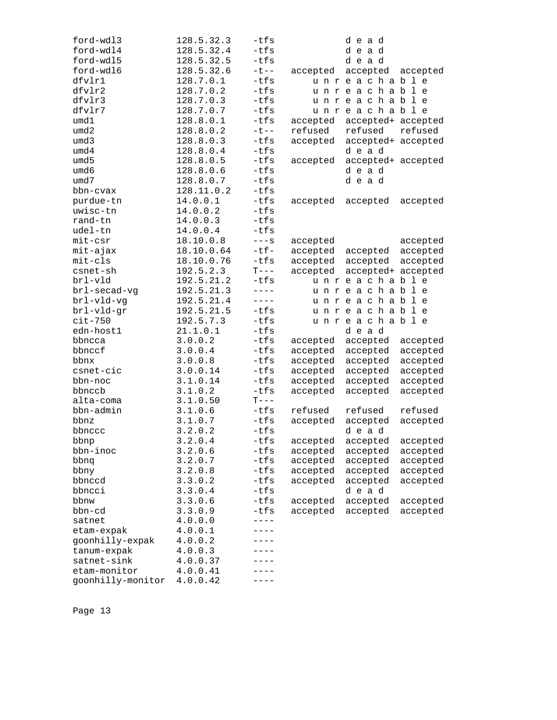| ford-wdl3         | 128.5.32.3 | -tfs                                                                                                                                                                                                                                                                                                                                                                                                                                                                                                       |          | dead               |          |
|-------------------|------------|------------------------------------------------------------------------------------------------------------------------------------------------------------------------------------------------------------------------------------------------------------------------------------------------------------------------------------------------------------------------------------------------------------------------------------------------------------------------------------------------------------|----------|--------------------|----------|
| ford-wdl4         | 128.5.32.4 | $-tfs$                                                                                                                                                                                                                                                                                                                                                                                                                                                                                                     |          | dead               |          |
| ford-wdl5         | 128.5.32.5 | $-tfs$                                                                                                                                                                                                                                                                                                                                                                                                                                                                                                     |          | dead               |          |
| ford-wdl6         | 128.5.32.6 | $-t$ $-$                                                                                                                                                                                                                                                                                                                                                                                                                                                                                                   | accepted | accepted           | accepted |
| dfvlr1            | 128.7.0.1  | $-tfs$                                                                                                                                                                                                                                                                                                                                                                                                                                                                                                     |          | unreachable        |          |
| dfvlr2            | 128.7.0.2  | $-tfs$                                                                                                                                                                                                                                                                                                                                                                                                                                                                                                     |          | unreachable        |          |
| dfvlr3            | 128.7.0.3  | $-tfs$                                                                                                                                                                                                                                                                                                                                                                                                                                                                                                     |          | unreachable        |          |
| dfvlr7            | 128.7.0.7  | $-tfs$                                                                                                                                                                                                                                                                                                                                                                                                                                                                                                     |          | unreachable        |          |
| umd1              | 128.8.0.1  | $-tfs$                                                                                                                                                                                                                                                                                                                                                                                                                                                                                                     | accepted | accepted+ accepted |          |
| umd2              | 128.8.0.2  | $-t$ $-$                                                                                                                                                                                                                                                                                                                                                                                                                                                                                                   | refused  | refused            | refused  |
| umd3              | 128.8.0.3  | $-tfs$                                                                                                                                                                                                                                                                                                                                                                                                                                                                                                     | accepted | accepted+ accepted |          |
| umd4              | 128.8.0.4  | $-tfs$                                                                                                                                                                                                                                                                                                                                                                                                                                                                                                     |          | dead               |          |
| umd5              | 128.8.0.5  | $-tfs$                                                                                                                                                                                                                                                                                                                                                                                                                                                                                                     | accepted | accepted+ accepted |          |
| umd6              | 128.8.0.6  | $-tfs$                                                                                                                                                                                                                                                                                                                                                                                                                                                                                                     |          | dead               |          |
| umd7              | 128.8.0.7  | $-tfs$                                                                                                                                                                                                                                                                                                                                                                                                                                                                                                     |          | dead               |          |
| bbn-cvax          | 128.11.0.2 | $-tfs$                                                                                                                                                                                                                                                                                                                                                                                                                                                                                                     |          |                    |          |
| purdue-tn         | 14.0.0.1   | -tfs                                                                                                                                                                                                                                                                                                                                                                                                                                                                                                       | accepted | accepted           | accepted |
| uwisc-tn          | 14.0.0.2   | $-tfs$                                                                                                                                                                                                                                                                                                                                                                                                                                                                                                     |          |                    |          |
| rand-tn           | 14.0.0.3   | $-tfs$                                                                                                                                                                                                                                                                                                                                                                                                                                                                                                     |          |                    |          |
| udel-tn           | 14.0.0.4   | $-tfs$                                                                                                                                                                                                                                                                                                                                                                                                                                                                                                     |          |                    |          |
| $mit-csr$         | 18.10.0.8  | $---S$                                                                                                                                                                                                                                                                                                                                                                                                                                                                                                     | accepted |                    | accepted |
| mit-ajax          | 18.10.0.64 | $-tf-$                                                                                                                                                                                                                                                                                                                                                                                                                                                                                                     | accepted | accepted           | accepted |
| $mit-cls$         | 18.10.0.76 | -tfs                                                                                                                                                                                                                                                                                                                                                                                                                                                                                                       | accepted | accepted           | accepted |
| csnet-sh          | 192.5.2.3  | $T---$                                                                                                                                                                                                                                                                                                                                                                                                                                                                                                     | accepted | accepted+ accepted |          |
| brl-vld           | 192.5.21.2 | $-tfs$                                                                                                                                                                                                                                                                                                                                                                                                                                                                                                     |          | unreachable        |          |
| brl-secad-vg      | 192.5.21.3 | $- - - -$                                                                                                                                                                                                                                                                                                                                                                                                                                                                                                  |          | unreachable        |          |
| brl-vld-vg        | 192.5.21.4 | $- - - - -$                                                                                                                                                                                                                                                                                                                                                                                                                                                                                                |          | unreachable        |          |
| brl-vld-gr        | 192.5.21.5 | -tfs                                                                                                                                                                                                                                                                                                                                                                                                                                                                                                       |          | unreachable        |          |
| $cit-750$         | 192.5.7.3  | $-tfs$                                                                                                                                                                                                                                                                                                                                                                                                                                                                                                     |          | unreachable        |          |
| edn-host1         | 21.1.0.1   | $-tfs$                                                                                                                                                                                                                                                                                                                                                                                                                                                                                                     |          | dead               |          |
| bbncca            | 3.0.0.2    | -tfs                                                                                                                                                                                                                                                                                                                                                                                                                                                                                                       | accepted | accepted           | accepted |
| bbnccf            | 3.0.0.4    | $-tfs$                                                                                                                                                                                                                                                                                                                                                                                                                                                                                                     | accepted | accepted           | accepted |
| bbnx              | 3.0.0.8    | $-tfs$                                                                                                                                                                                                                                                                                                                                                                                                                                                                                                     | accepted | accepted           | accepted |
| csnet-cic         | 3.0.0.14   | -tfs                                                                                                                                                                                                                                                                                                                                                                                                                                                                                                       | accepted | accepted           | accepted |
| bbn-noc           | 3.1.0.14   | $-tfs$                                                                                                                                                                                                                                                                                                                                                                                                                                                                                                     | accepted | accepted           | accepted |
| bbnccb            | 3.1.0.2    | $-tfs$                                                                                                                                                                                                                                                                                                                                                                                                                                                                                                     | accepted | accepted           | accepted |
| alta-coma         | 3.1.0.50   | $\mathbf{T}--% \begin{pmatrix} \mathbf{T} & \mathbf{T}% & \mathbf{T} & \mathbf{T}% & \mathbf{T} & \mathbf{T}% & \mathbf{T} & \mathbf{T} & \mathbf{T} \\ \mathbf{T} & \mathbf{T} & \mathbf{T} & \mathbf{T} & \mathbf{T} \\ \mathbf{T} & \mathbf{T} & \mathbf{T} & \mathbf{T} & \mathbf{T} \\ \mathbf{T} & \mathbf{T} & \mathbf{T} & \mathbf{T} \\ \mathbf{T} & \mathbf{T} & \mathbf{T} & \mathbf{T} \\ \mathbf{T} & \mathbf{T} & \mathbf{T} & \mathbf{T} \\ \mathbf{T} & \mathbf{T} & \mathbf{T} & \mathbf$ |          |                    |          |
| bbn-admin         | 3.1.0.6    | $-tfs$                                                                                                                                                                                                                                                                                                                                                                                                                                                                                                     | refused  | refused            | refused  |
| bbnz              | 3.1.0.7    | $-tfs$                                                                                                                                                                                                                                                                                                                                                                                                                                                                                                     | accepted | accepted           | accepted |
| bbnccc            | 3.2.0.2    | $-tfs$                                                                                                                                                                                                                                                                                                                                                                                                                                                                                                     |          | dead               |          |
| bbnp              | 3.2.0.4    | $-tfs$                                                                                                                                                                                                                                                                                                                                                                                                                                                                                                     | accepted | accepted           | accepted |
| bbn-inoc          | 3.2.0.6    | -tfs                                                                                                                                                                                                                                                                                                                                                                                                                                                                                                       | accepted | accepted           | accepted |
| bbnq              | 3.2.0.7    | -tfs                                                                                                                                                                                                                                                                                                                                                                                                                                                                                                       | accepted | accepted           | accepted |
| bbny              | 3.2.0.8    | -tfs                                                                                                                                                                                                                                                                                                                                                                                                                                                                                                       | accepted | accepted           | accepted |
| bbnccd            | 3.3.0.2    | $-tfs$                                                                                                                                                                                                                                                                                                                                                                                                                                                                                                     | accepted | accepted           | accepted |
| bbncci            | 3.3.0.4    | -tfs                                                                                                                                                                                                                                                                                                                                                                                                                                                                                                       |          | dead               |          |
| bbnw              | 3.3.0.6    | -tfs                                                                                                                                                                                                                                                                                                                                                                                                                                                                                                       | accepted | accepted           | accepted |
| bbn-cd            | 3.3.0.9    | $-tfs$                                                                                                                                                                                                                                                                                                                                                                                                                                                                                                     | accepted | accepted           | accepted |
| satnet            | 4.0.0.0    | $---$                                                                                                                                                                                                                                                                                                                                                                                                                                                                                                      |          |                    |          |
| etam-expak        | 4.0.0.1    | ----                                                                                                                                                                                                                                                                                                                                                                                                                                                                                                       |          |                    |          |
| goonhilly-expak   | 4.0.0.2    |                                                                                                                                                                                                                                                                                                                                                                                                                                                                                                            |          |                    |          |
| tanum-expak       | 4.0.0.3    |                                                                                                                                                                                                                                                                                                                                                                                                                                                                                                            |          |                    |          |
| satnet-sink       | 4.0.0.37   |                                                                                                                                                                                                                                                                                                                                                                                                                                                                                                            |          |                    |          |
| etam-monitor      | 4.0.0.41   |                                                                                                                                                                                                                                                                                                                                                                                                                                                                                                            |          |                    |          |
| goonhilly-monitor | 4.0.0.42   |                                                                                                                                                                                                                                                                                                                                                                                                                                                                                                            |          |                    |          |
|                   |            |                                                                                                                                                                                                                                                                                                                                                                                                                                                                                                            |          |                    |          |